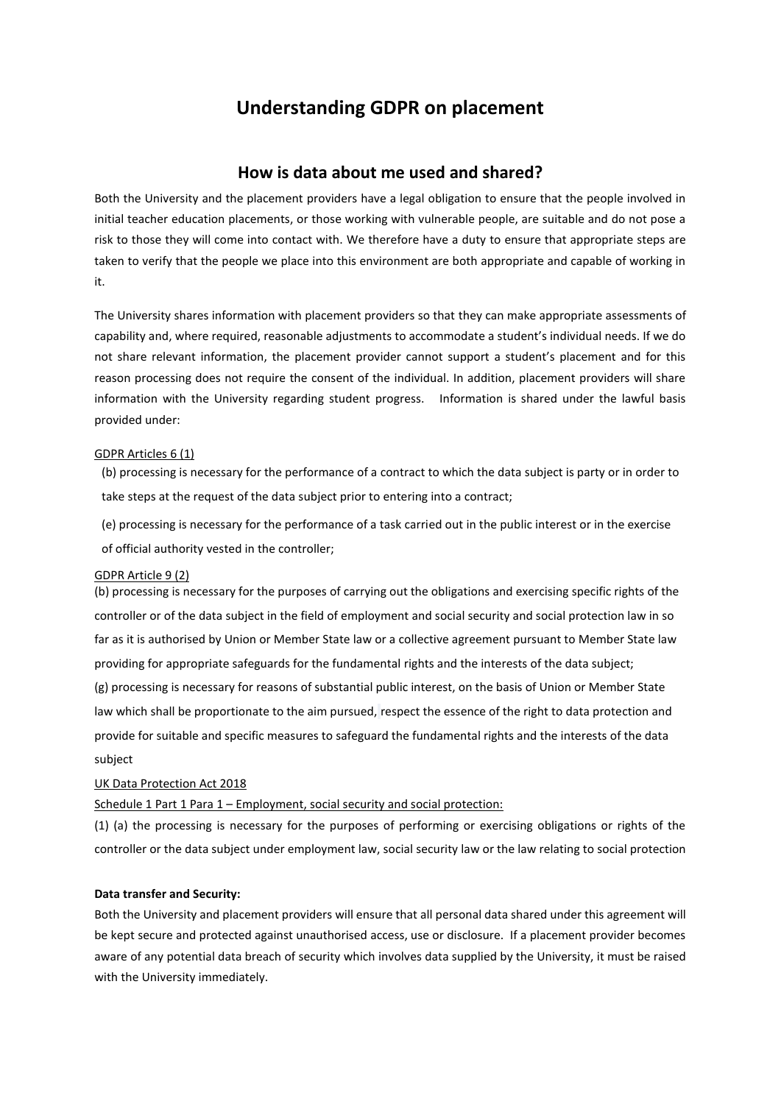# **Understanding GDPR on placement**

## **How is data about me used and shared?**

Both the University and the placement providers have a legal obligation to ensure that the people involved in initial teacher education placements, or those working with vulnerable people, are suitable and do not pose a risk to those they will come into contact with. We therefore have a duty to ensure that appropriate steps are taken to verify that the people we place into this environment are both appropriate and capable of working in it.

The University shares information with placement providers so that they can make appropriate assessments of capability and, where required, reasonable adjustments to accommodate a student's individual needs. If we do not share relevant information, the placement provider cannot support a student's placement and for this reason processing does not require the consent of the individual. In addition, placement providers will share information with the University regarding student progress. Information is shared under the lawful basis provided under:

### GDPR Articles 6 (1)

(b) processing is necessary for the performance of a contract to which the data subject is party or in order to take steps at the request of the data subject prior to entering into a contract;

(e) processing is necessary for the performance of a task carried out in the public interest or in the exercise of official authority vested in the controller;

### GDPR Article 9 (2)

(b) processing is necessary for the purposes of carrying out the obligations and exercising specific rights of the controller or of the data subject in the field of employment and social security and social protection law in so far as it is authorised by Union or Member State law or a collective agreement pursuant to Member State law providing for appropriate safeguards for the fundamental rights and the interests of the data subject;

(g) processing is necessary for reasons of substantial public interest, on the basis of Union or Member State law which shall be proportionate to the aim pursued, respect the essence of the right to data protection and provide for suitable and specific measures to safeguard the fundamental rights and the interests of the data subject

### UK Data Protection Act 2018

Schedule 1 Part 1 Para 1 – Employment, social security and social protection:

(1) (a) the processing is necessary for the purposes of performing or exercising obligations or rights of the controller or the data subject under employment law, social security law or the law relating to social protection

### **Data transfer and Security:**

Both the University and placement providers will ensure that all personal data shared under this agreement will be kept secure and protected against unauthorised access, use or disclosure. If a placement provider becomes aware of any potential data breach of security which involves data supplied by the University, it must be raised with the University immediately.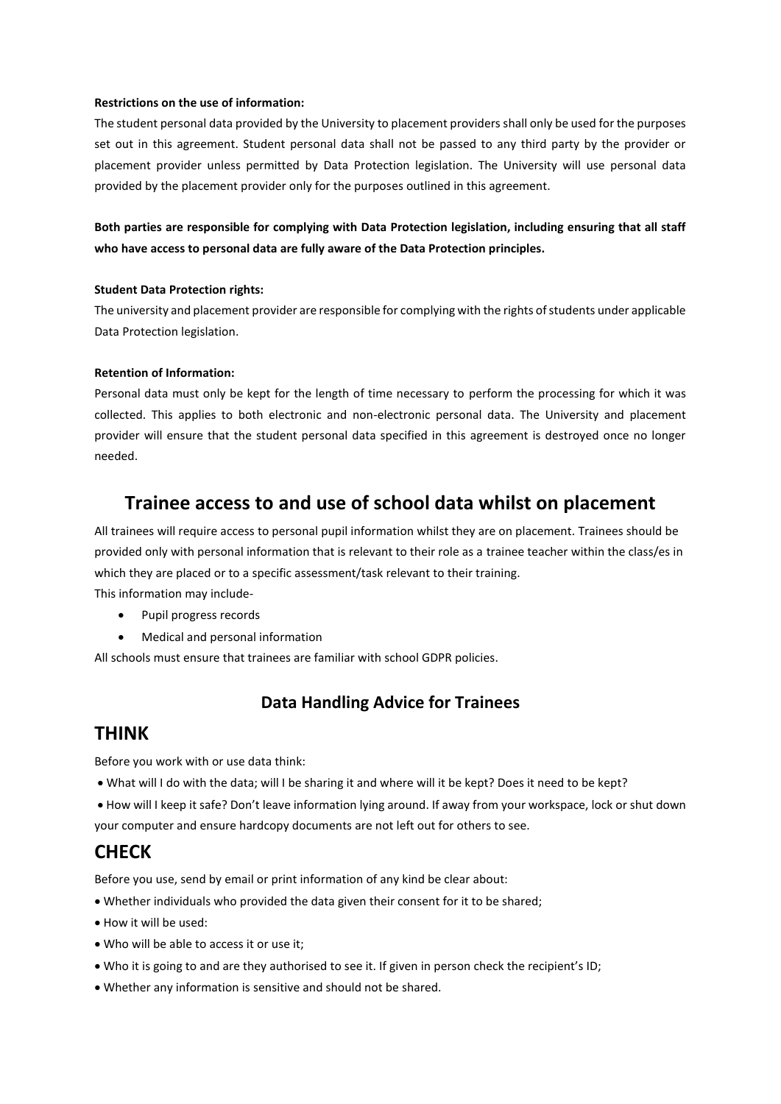### **Restrictions on the use of information:**

The student personal data provided by the University to placement providers shall only be used for the purposes set out in this agreement. Student personal data shall not be passed to any third party by the provider or placement provider unless permitted by Data Protection legislation. The University will use personal data provided by the placement provider only for the purposes outlined in this agreement.

**Both parties are responsible for complying with Data Protection legislation, including ensuring that all staff who have access to personal data are fully aware of the Data Protection principles.**

### **Student Data Protection rights:**

The university and placement provider are responsible for complying with the rights of students under applicable Data Protection legislation.

### **Retention of Information:**

Personal data must only be kept for the length of time necessary to perform the processing for which it was collected. This applies to both electronic and non-electronic personal data. The University and placement provider will ensure that the student personal data specified in this agreement is destroyed once no longer needed.

## **Trainee access to and use of school data whilst on placement**

All trainees will require access to personal pupil information whilst they are on placement. Trainees should be provided only with personal information that is relevant to their role as a trainee teacher within the class/es in which they are placed or to a specific assessment/task relevant to their training.

This information may include-

- Pupil progress records
- Medical and personal information

All schools must ensure that trainees are familiar with school GDPR policies.

## **Data Handling Advice for Trainees**

### **THINK**

Before you work with or use data think:

- What will I do with the data; will I be sharing it and where will it be kept? Does it need to be kept?
- How will I keep it safe? Don't leave information lying around. If away from your workspace, lock or shut down your computer and ensure hardcopy documents are not left out for others to see.

## **CHECK**

Before you use, send by email or print information of any kind be clear about:

- Whether individuals who provided the data given their consent for it to be shared;
- How it will be used:
- Who will be able to access it or use it;
- Who it is going to and are they authorised to see it. If given in person check the recipient's ID;
- Whether any information is sensitive and should not be shared.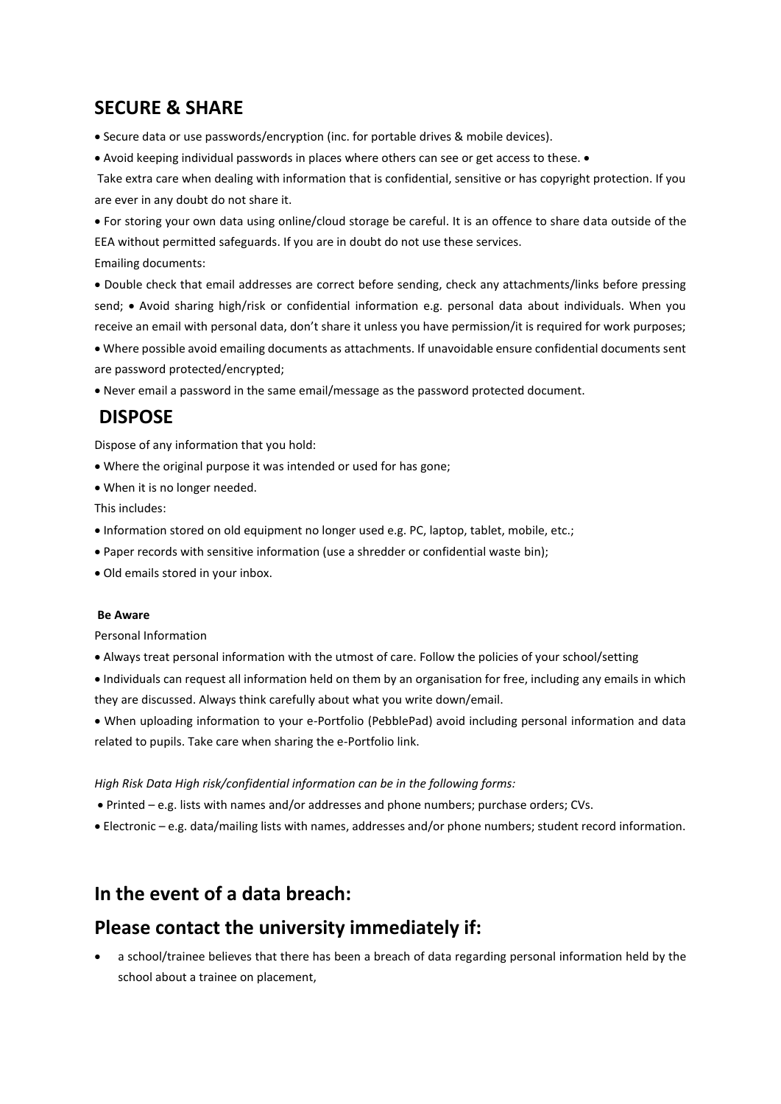# **SECURE & SHARE**

• Secure data or use passwords/encryption (inc. for portable drives & mobile devices).

• Avoid keeping individual passwords in places where others can see or get access to these. •

Take extra care when dealing with information that is confidential, sensitive or has copyright protection. If you are ever in any doubt do not share it.

• For storing your own data using online/cloud storage be careful. It is an offence to share data outside of the EEA without permitted safeguards. If you are in doubt do not use these services.

Emailing documents:

• Double check that email addresses are correct before sending, check any attachments/links before pressing send; • Avoid sharing high/risk or confidential information e.g. personal data about individuals. When you receive an email with personal data, don't share it unless you have permission/it is required for work purposes;

• Where possible avoid emailing documents as attachments. If unavoidable ensure confidential documents sent are password protected/encrypted;

• Never email a password in the same email/message as the password protected document.

# **DISPOSE**

Dispose of any information that you hold:

- Where the original purpose it was intended or used for has gone;
- When it is no longer needed.

This includes:

- Information stored on old equipment no longer used e.g. PC, laptop, tablet, mobile, etc.;
- Paper records with sensitive information (use a shredder or confidential waste bin);
- Old emails stored in your inbox.

### **Be Aware**

Personal Information

• Always treat personal information with the utmost of care. Follow the policies of your school/setting

• Individuals can request all information held on them by an organisation for free, including any emails in which they are discussed. Always think carefully about what you write down/email.

• When uploading information to your e-Portfolio (PebblePad) avoid including personal information and data related to pupils. Take care when sharing the e-Portfolio link.

*High Risk Data High risk/confidential information can be in the following forms:*

• Printed – e.g. lists with names and/or addresses and phone numbers; purchase orders; CVs.

• Electronic – e.g. data/mailing lists with names, addresses and/or phone numbers; student record information.

# **In the event of a data breach:**

# **Please contact the university immediately if:**

• a school/trainee believes that there has been a breach of data regarding personal information held by the school about a trainee on placement,